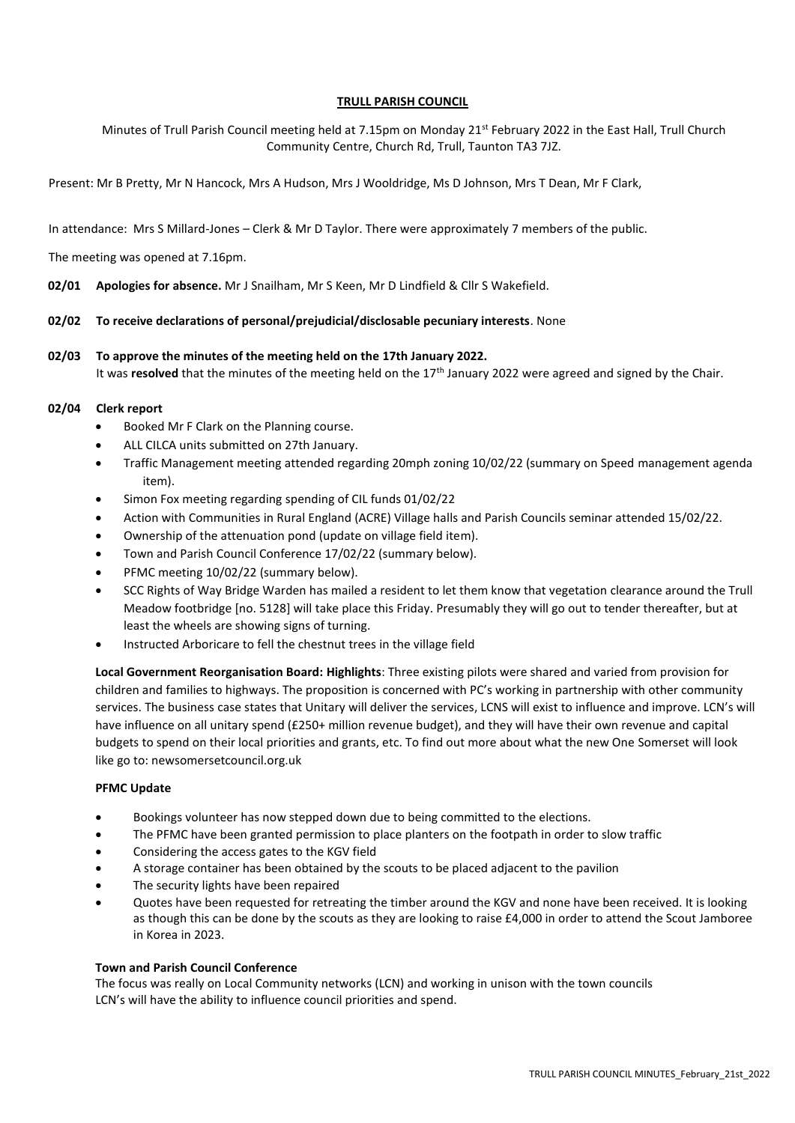## **TRULL PARISH COUNCIL**

Minutes of Trull Parish Council meeting held at 7.15pm on Monday 21<sup>st</sup> February 2022 in the East Hall, Trull Church Community Centre, Church Rd, Trull, Taunton TA3 7JZ.

Present: Mr B Pretty, Mr N Hancock, Mrs A Hudson, Mrs J Wooldridge, Ms D Johnson, Mrs T Dean, Mr F Clark,

In attendance: Mrs S Millard-Jones – Clerk & Mr D Taylor. There were approximately 7 members of the public.

The meeting was opened at 7.16pm.

**02/01 Apologies for absence.** Mr J Snailham, Mr S Keen, Mr D Lindfield & Cllr S Wakefield.

## **02/02 To receive declarations of personal/prejudicial/disclosable pecuniary interests**. None

## **02/03 To approve the minutes of the meeting held on the 17th January 2022.**

It was **resolved** that the minutes of the meeting held on the 17<sup>th</sup> January 2022 were agreed and signed by the Chair.

## **02/04 Clerk report**

- Booked Mr F Clark on the Planning course.
- ALL CILCA units submitted on 27th January.
- Traffic Management meeting attended regarding 20mph zoning 10/02/22 (summary on Speed management agenda item).
- Simon Fox meeting regarding spending of CIL funds 01/02/22
- Action with Communities in Rural England (ACRE) Village halls and Parish Councils seminar attended 15/02/22.
- Ownership of the attenuation pond (update on village field item).
- Town and Parish Council Conference 17/02/22 (summary below).
- PFMC meeting 10/02/22 (summary below).
- SCC Rights of Way Bridge Warden has mailed a resident to let them know that vegetation clearance around the Trull Meadow footbridge [no. 5128] will take place this Friday. Presumably they will go out to tender thereafter, but at least the wheels are showing signs of turning.
- Instructed Arboricare to fell the chestnut trees in the village field

**Local Government Reorganisation Board: Highlights**: Three existing pilots were shared and varied from provision for children and families to highways. The proposition is concerned with PC's working in partnership with other community services. The business case states that Unitary will deliver the services, LCNS will exist to influence and improve. LCN's will have influence on all unitary spend (£250+ million revenue budget), and they will have their own revenue and capital budgets to spend on their local priorities and grants, etc. To find out more about what the new One Somerset will look like go to: newsomersetcouncil.org.uk

## **PFMC Update**

- Bookings volunteer has now stepped down due to being committed to the elections.
- The PFMC have been granted permission to place planters on the footpath in order to slow traffic
- Considering the access gates to the KGV field
- A storage container has been obtained by the scouts to be placed adjacent to the pavilion
- The security lights have been repaired
- Quotes have been requested for retreating the timber around the KGV and none have been received. It is looking as though this can be done by the scouts as they are looking to raise £4,000 in order to attend the Scout Jamboree in Korea in 2023.

## **Town and Parish Council Conference**

The focus was really on Local Community networks (LCN) and working in unison with the town councils LCN's will have the ability to influence council priorities and spend.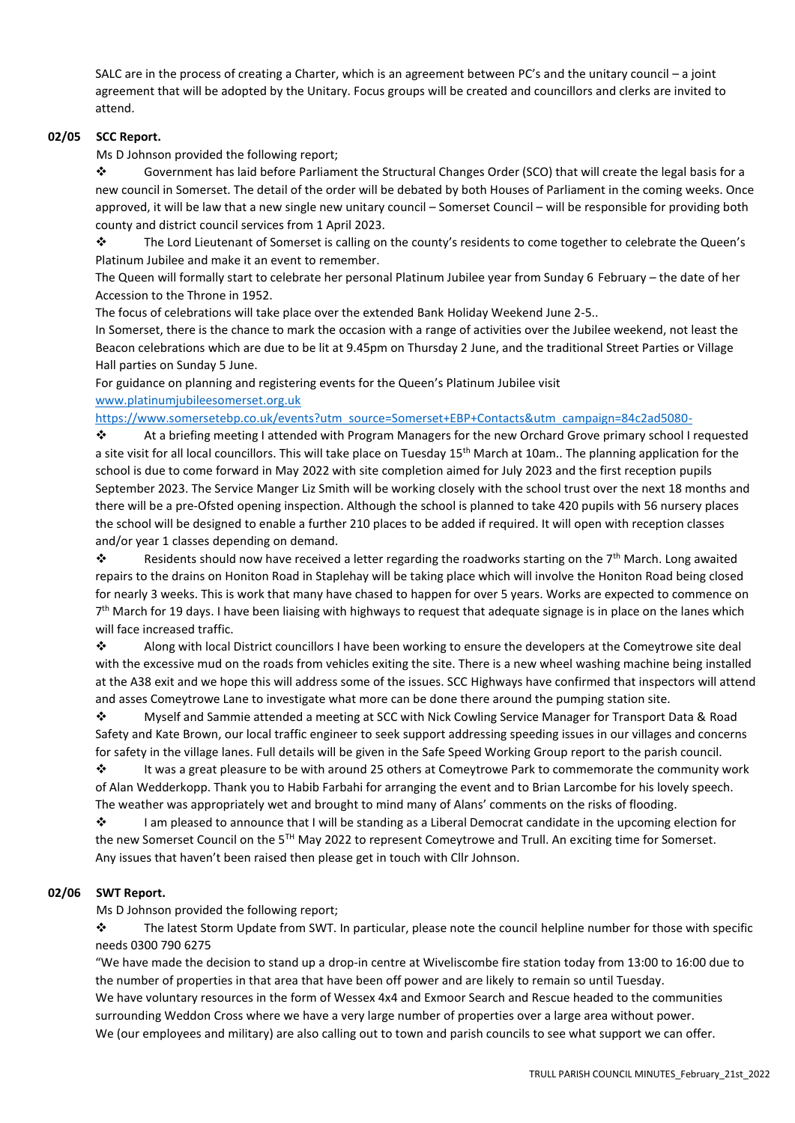SALC are in the process of creating a Charter, which is an agreement between PC's and the unitary council – a joint agreement that will be adopted by the Unitary. Focus groups will be created and councillors and clerks are invited to attend.

# **02/05 SCC Report.**

Ms D Johnson provided the following report;

❖ Government has laid before Parliament the Structural Changes Order (SCO) that will create the legal basis for a new council in Somerset. The detail of the order will be debated by both Houses of Parliament in the coming weeks. Once approved, it will be law that a new single new unitary council – Somerset Council – will be responsible for providing both county and district council services from 1 April 2023.

❖ The Lord Lieutenant of Somerset is calling on the county's residents to come together to celebrate the Queen's Platinum Jubilee and make it an event to remember.

The Queen will formally start to celebrate her personal Platinum Jubilee year from Sunday 6 February – the date of her Accession to the Throne in 1952.

The focus of celebrations will take place over the extended Bank Holiday Weekend June 2-5..

In Somerset, there is the chance to mark the occasion with a range of activities over the Jubilee weekend, not least the Beacon celebrations which are due to be lit at 9.45pm on Thursday 2 June, and the traditional Street Parties or Village Hall parties on Sunday 5 June.

For guidance on planning and registering events for the Queen's Platinum Jubilee visit

[www.platinumjubileesomerset.org.uk](http://www.platinumjubileesomerset.org.uk/)

[https://www.somersetebp.co.uk/events?utm\\_source=Somerset+EBP+Contacts&utm\\_campaign=84c2ad5080-](https://www.somersetebp.co.uk/events?utm_source=Somerset+EBP+Contacts&utm_campaign=84c2ad5080-)

❖ At a briefing meeting I attended with Program Managers for the new Orchard Grove primary school I requested a site visit for all local councillors. This will take place on Tuesday 15<sup>th</sup> March at 10am.. The planning application for the school is due to come forward in May 2022 with site completion aimed for July 2023 and the first reception pupils September 2023. The Service Manger Liz Smith will be working closely with the school trust over the next 18 months and there will be a pre-Ofsted opening inspection. Although the school is planned to take 420 pupils with 56 nursery places the school will be designed to enable a further 210 places to be added if required. It will open with reception classes and/or year 1 classes depending on demand.

 $\dots$  Residents should now have received a letter regarding the roadworks starting on the 7<sup>th</sup> March. Long awaited repairs to the drains on Honiton Road in Staplehay will be taking place which will involve the Honiton Road being closed for nearly 3 weeks. This is work that many have chased to happen for over 5 years. Works are expected to commence on 7<sup>th</sup> March for 19 days. I have been liaising with highways to request that adequate signage is in place on the lanes which will face increased traffic.

❖ Along with local District councillors I have been working to ensure the developers at the Comeytrowe site deal with the excessive mud on the roads from vehicles exiting the site. There is a new wheel washing machine being installed at the A38 exit and we hope this will address some of the issues. SCC Highways have confirmed that inspectors will attend and asses Comeytrowe Lane to investigate what more can be done there around the pumping station site.

❖ Myself and Sammie attended a meeting at SCC with Nick Cowling Service Manager for Transport Data & Road Safety and Kate Brown, our local traffic engineer to seek support addressing speeding issues in our villages and concerns for safety in the village lanes. Full details will be given in the Safe Speed Working Group report to the parish council.

❖ It was a great pleasure to be with around 25 others at Comeytrowe Park to commemorate the community work of Alan Wedderkopp. Thank you to Habib Farbahi for arranging the event and to Brian Larcombe for his lovely speech. The weather was appropriately wet and brought to mind many of Alans' comments on the risks of flooding.

❖ I am pleased to announce that I will be standing as a Liberal Democrat candidate in the upcoming election for the new Somerset Council on the 5<sup>TH</sup> May 2022 to represent Comeytrowe and Trull. An exciting time for Somerset. Any issues that haven't been raised then please get in touch with Cllr Johnson.

# **02/06 SWT Report.**

Ms D Johnson provided the following report;

❖ The latest Storm Update from SWT. In particular, please note the council helpline number for those with specific needs 0300 790 6275

"We have made the decision to stand up a drop-in centre at Wiveliscombe fire station today from 13:00 to 16:00 due to the number of properties in that area that have been off power and are likely to remain so until Tuesday. We have voluntary resources in the form of Wessex 4x4 and Exmoor Search and Rescue headed to the communities surrounding Weddon Cross where we have a very large number of properties over a large area without power. We (our employees and military) are also calling out to town and parish councils to see what support we can offer.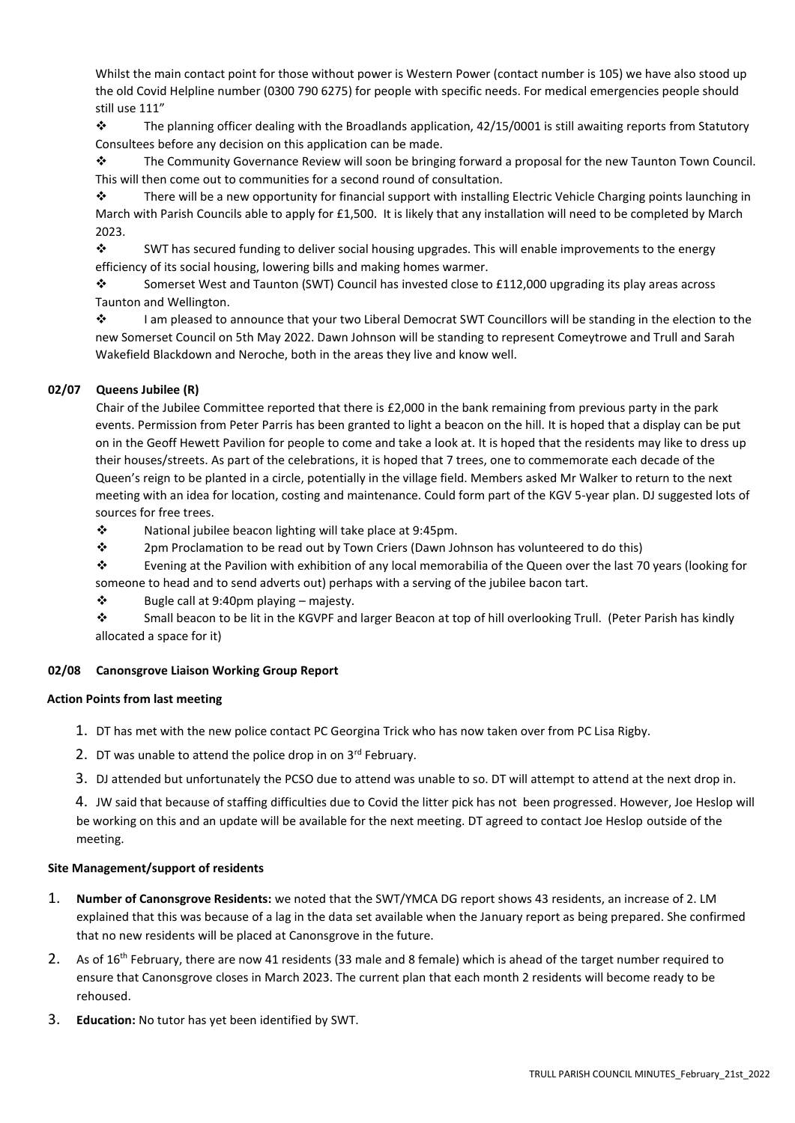Whilst the main contact point for those without power is Western Power (contact number is 105) we have also stood up the old Covid Helpline number (0300 790 6275) for people with specific needs. For medical emergencies people should still use 111"

❖ The planning officer dealing with the Broadlands application, 42/15/0001 is still awaiting reports from Statutory Consultees before any decision on this application can be made.

❖ The Community Governance Review will soon be bringing forward a proposal for the new Taunton Town Council. This will then come out to communities for a second round of consultation.

❖ There will be a new opportunity for financial support with installing Electric Vehicle Charging points launching in March with Parish Councils able to apply for £1,500. It is likely that any installation will need to be completed by March 2023.

❖ SWT has secured funding to deliver social housing upgrades. This will enable improvements to the energy efficiency of its social housing, lowering bills and making homes warmer.

❖ Somerset West and Taunton (SWT) Council has invested close to £112,000 upgrading its play areas across Taunton and Wellington.

❖ I am pleased to announce that your two Liberal Democrat SWT Councillors will be standing in the election to the new Somerset Council on 5th May 2022. Dawn Johnson will be standing to represent Comeytrowe and Trull and Sarah Wakefield Blackdown and Neroche, both in the areas they live and know well.

# **02/07 Queens Jubilee (R)**

Chair of the Jubilee Committee reported that there is £2,000 in the bank remaining from previous party in the park events. Permission from Peter Parris has been granted to light a beacon on the hill. It is hoped that a display can be put on in the Geoff Hewett Pavilion for people to come and take a look at. It is hoped that the residents may like to dress up their houses/streets. As part of the celebrations, it is hoped that 7 trees, one to commemorate each decade of the Queen's reign to be planted in a circle, potentially in the village field. Members asked Mr Walker to return to the next meeting with an idea for location, costing and maintenance. Could form part of the KGV 5-year plan. DJ suggested lots of sources for free trees.

❖ National jubilee beacon lighting will take place at 9:45pm.

❖ 2pm Proclamation to be read out by Town Criers (Dawn Johnson has volunteered to do this)

❖ Evening at the Pavilion with exhibition of any local memorabilia of the Queen over the last 70 years (looking for someone to head and to send adverts out) perhaps with a serving of the jubilee bacon tart.

 $\dots$  Bugle call at 9:40pm playing – majesty.

❖ Small beacon to be lit in the KGVPF and larger Beacon at top of hill overlooking Trull. (Peter Parish has kindly allocated a space for it)

# **02/08 Canonsgrove Liaison Working Group Report**

## **Action Points from last meeting**

- 1. DT has met with the new police contact PC Georgina Trick who has now taken over from PC Lisa Rigby.
- 2. DT was unable to attend the police drop in on  $3<sup>rd</sup>$  February.
- 3. DJ attended but unfortunately the PCSO due to attend was unable to so. DT will attempt to attend at the next drop in.

4. JW said that because of staffing difficulties due to Covid the litter pick has not been progressed. However, Joe Heslop will be working on this and an update will be available for the next meeting. DT agreed to contact Joe Heslop outside of the meeting.

## **Site Management/support of residents**

- 1. **Number of Canonsgrove Residents:** we noted that the SWT/YMCA DG report shows 43 residents, an increase of 2. LM explained that this was because of a lag in the data set available when the January report as being prepared. She confirmed that no new residents will be placed at Canonsgrove in the future.
- 2. As of 16<sup>th</sup> February, there are now 41 residents (33 male and 8 female) which is ahead of the target number required to ensure that Canonsgrove closes in March 2023. The current plan that each month 2 residents will become ready to be rehoused.
- 3. **Education:** No tutor has yet been identified by SWT.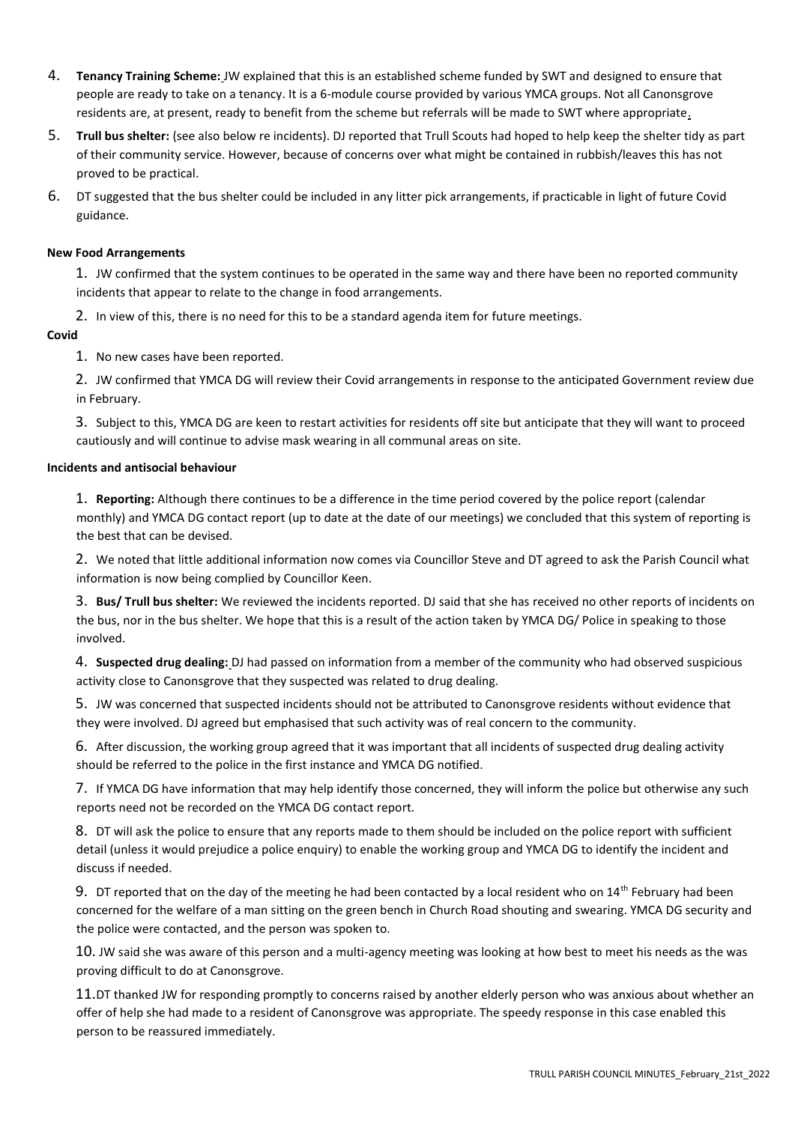- 4. **Tenancy Training Scheme:** JW explained that this is an established scheme funded by SWT and designed to ensure that people are ready to take on a tenancy. It is a 6-module course provided by various YMCA groups. Not all Canonsgrove residents are, at present, ready to benefit from the scheme but referrals will be made to SWT where appropriate.
- 5. **Trull bus shelter:** (see also below re incidents). DJ reported that Trull Scouts had hoped to help keep the shelter tidy as part of their community service. However, because of concerns over what might be contained in rubbish/leaves this has not proved to be practical.
- 6. DT suggested that the bus shelter could be included in any litter pick arrangements, if practicable in light of future Covid guidance.

## **New Food Arrangements**

1. JW confirmed that the system continues to be operated in the same way and there have been no reported community incidents that appear to relate to the change in food arrangements.

2. In view of this, there is no need for this to be a standard agenda item for future meetings.

## **Covid**

1. No new cases have been reported.

2. JW confirmed that YMCA DG will review their Covid arrangements in response to the anticipated Government review due in February.

3. Subject to this, YMCA DG are keen to restart activities for residents off site but anticipate that they will want to proceed cautiously and will continue to advise mask wearing in all communal areas on site.

## **Incidents and antisocial behaviour**

1. **Reporting:** Although there continues to be a difference in the time period covered by the police report (calendar monthly) and YMCA DG contact report (up to date at the date of our meetings) we concluded that this system of reporting is the best that can be devised.

2. We noted that little additional information now comes via Councillor Steve and DT agreed to ask the Parish Council what information is now being complied by Councillor Keen.

3. **Bus/ Trull bus shelter:** We reviewed the incidents reported. DJ said that she has received no other reports of incidents on the bus, nor in the bus shelter. We hope that this is a result of the action taken by YMCA DG/ Police in speaking to those involved.

4. **Suspected drug dealing:** DJ had passed on information from a member of the community who had observed suspicious activity close to Canonsgrove that they suspected was related to drug dealing.

5. JW was concerned that suspected incidents should not be attributed to Canonsgrove residents without evidence that they were involved. DJ agreed but emphasised that such activity was of real concern to the community.

6. After discussion, the working group agreed that it was important that all incidents of suspected drug dealing activity should be referred to the police in the first instance and YMCA DG notified.

7. If YMCA DG have information that may help identify those concerned, they will inform the police but otherwise any such reports need not be recorded on the YMCA DG contact report.

8. DT will ask the police to ensure that any reports made to them should be included on the police report with sufficient detail (unless it would prejudice a police enquiry) to enable the working group and YMCA DG to identify the incident and discuss if needed.

9. DT reported that on the day of the meeting he had been contacted by a local resident who on  $14^{\text{th}}$  February had been concerned for the welfare of a man sitting on the green bench in Church Road shouting and swearing. YMCA DG security and the police were contacted, and the person was spoken to.

10. JW said she was aware of this person and a multi-agency meeting was looking at how best to meet his needs as the was proving difficult to do at Canonsgrove.

11.DT thanked JW for responding promptly to concerns raised by another elderly person who was anxious about whether an offer of help she had made to a resident of Canonsgrove was appropriate. The speedy response in this case enabled this person to be reassured immediately.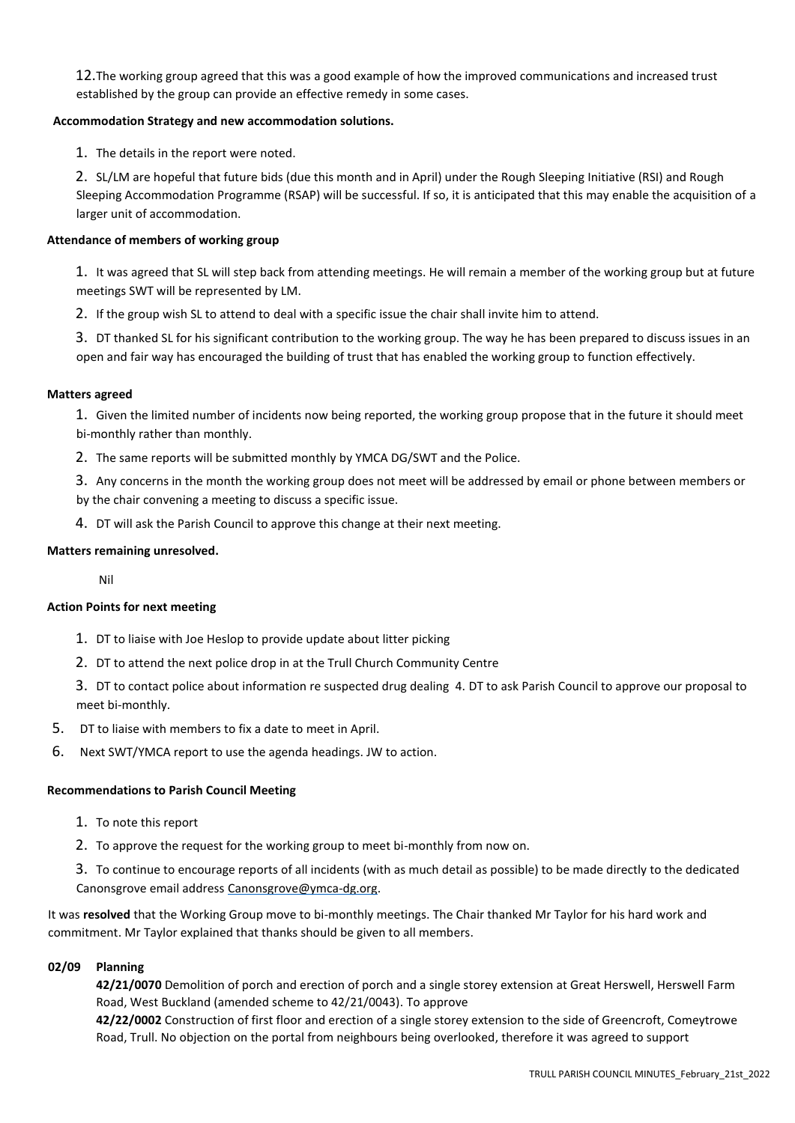12.The working group agreed that this was a good example of how the improved communications and increased trust established by the group can provide an effective remedy in some cases.

## **Accommodation Strategy and new accommodation solutions.**

1. The details in the report were noted.

2. SL/LM are hopeful that future bids (due this month and in April) under the Rough Sleeping Initiative (RSI) and Rough Sleeping Accommodation Programme (RSAP) will be successful. If so, it is anticipated that this may enable the acquisition of a larger unit of accommodation.

## **Attendance of members of working group**

1. It was agreed that SL will step back from attending meetings. He will remain a member of the working group but at future meetings SWT will be represented by LM.

2. If the group wish SL to attend to deal with a specific issue the chair shall invite him to attend.

3. DT thanked SL for his significant contribution to the working group. The way he has been prepared to discuss issues in an open and fair way has encouraged the building of trust that has enabled the working group to function effectively.

#### **Matters agreed**

1. Given the limited number of incidents now being reported, the working group propose that in the future it should meet bi-monthly rather than monthly.

2. The same reports will be submitted monthly by YMCA DG/SWT and the Police.

3. Any concerns in the month the working group does not meet will be addressed by email or phone between members or by the chair convening a meeting to discuss a specific issue.

4. DT will ask the Parish Council to approve this change at their next meeting.

## **Matters remaining unresolved.**

Nil

## **Action Points for next meeting**

- 1. DT to liaise with Joe Heslop to provide update about litter picking
- 2. DT to attend the next police drop in at the Trull Church Community Centre
- 3. DT to contact police about information re suspected drug dealing 4. DT to ask Parish Council to approve our proposal to meet bi-monthly.
- 5. DT to liaise with members to fix a date to meet in April.
- 6. Next SWT/YMCA report to use the agenda headings. JW to action.

## **Recommendations to Parish Council Meeting**

- 1. To note this report
- 2. To approve the request for the working group to meet bi-monthly from now on.

3. To continue to encourage reports of all incidents (with as much detail as possible) to be made directly to the dedicated Canonsgrove email address Canonsgrove@ymca-dg.org.

It was **resolved** that the Working Group move to bi-monthly meetings. The Chair thanked Mr Taylor for his hard work and commitment. Mr Taylor explained that thanks should be given to all members.

## **02/09 Planning**

**42/21/0070** Demolition of porch and erection of porch and a single storey extension at Great Herswell, Herswell Farm Road, West Buckland (amended scheme to 42/21/0043). To approve

**42/22/0002** Construction of first floor and erection of a single storey extension to the side of Greencroft, Comeytrowe Road, Trull. No objection on the portal from neighbours being overlooked, therefore it was agreed to support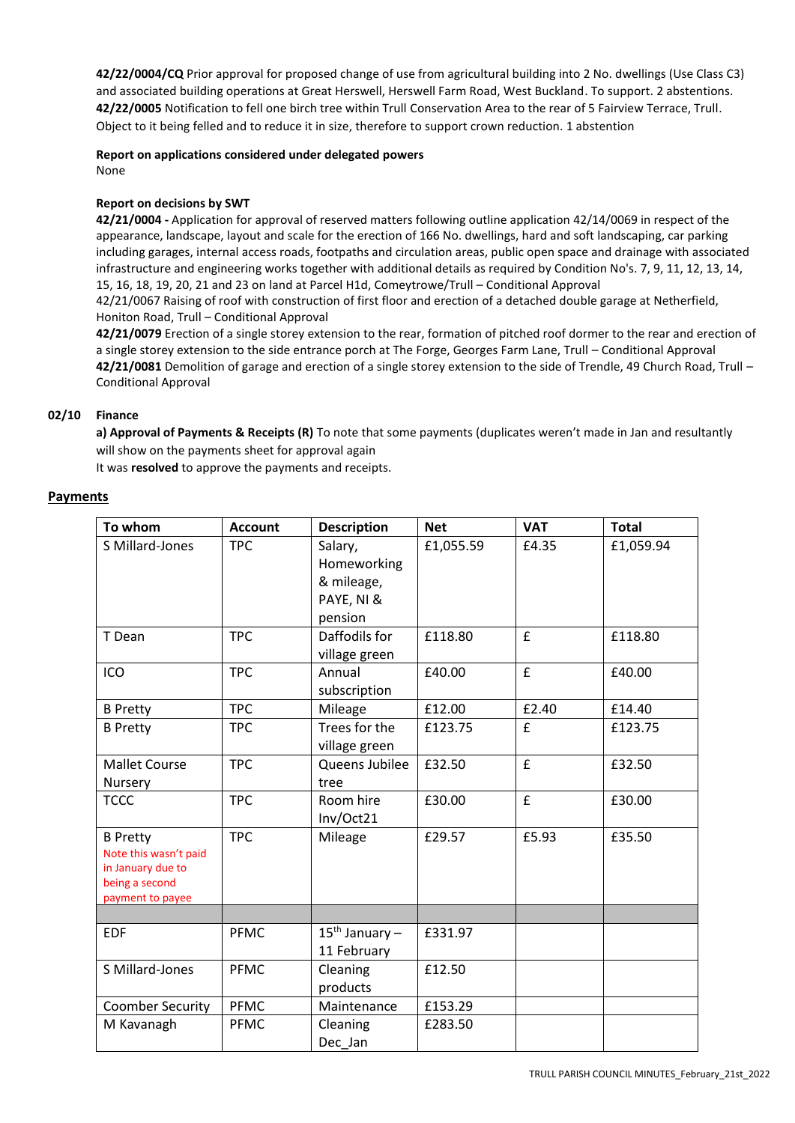**42/22/0004/CQ** Prior approval for proposed change of use from agricultural building into 2 No. dwellings (Use Class C3) and associated building operations at Great Herswell, Herswell Farm Road, West Buckland. To support. 2 abstentions. **42/22/0005** Notification to fell one birch tree within Trull Conservation Area to the rear of 5 Fairview Terrace, Trull. Object to it being felled and to reduce it in size, therefore to support crown reduction. 1 abstention

#### **Report on applications considered under delegated powers**  None

# **Report on decisions by SWT**

**42/21/0004 -** Application for approval of reserved matters following outline application 42/14/0069 in respect of the appearance, landscape, layout and scale for the erection of 166 No. dwellings, hard and soft landscaping, car parking including garages, internal access roads, footpaths and circulation areas, public open space and drainage with associated infrastructure and engineering works together with additional details as required by Condition No's. 7, 9, 11, 12, 13, 14, 15, 16, 18, 19, 20, 21 and 23 on land at Parcel H1d, Comeytrowe/Trull – Conditional Approval 42/21/0067 Raising of roof with construction of first floor and erection of a detached double garage at Netherfield, Honiton Road, Trull – Conditional Approval

**42/21/0079** Erection of a single storey extension to the rear, formation of pitched roof dormer to the rear and erection of a single storey extension to the side entrance porch at The Forge, Georges Farm Lane, Trull – Conditional Approval **42/21/0081** Demolition of garage and erection of a single storey extension to the side of Trendle, 49 Church Road, Trull – Conditional Approval

## **02/10 Finance**

**a) Approval of Payments & Receipts (R)** To note that some payments (duplicates weren't made in Jan and resultantly will show on the payments sheet for approval again

It was **resolved** to approve the payments and receipts.

## **Payments**

| To whom                                                                                             | <b>Account</b> | <b>Description</b>                                            | <b>Net</b> | <b>VAT</b> | <b>Total</b> |
|-----------------------------------------------------------------------------------------------------|----------------|---------------------------------------------------------------|------------|------------|--------------|
| S Millard-Jones                                                                                     | <b>TPC</b>     | Salary,<br>Homeworking<br>& mileage,<br>PAYE, NI &<br>pension | £1,055.59  | £4.35      | £1,059.94    |
| T Dean                                                                                              | <b>TPC</b>     | Daffodils for<br>village green                                | £118.80    | £          | £118.80      |
| ICO                                                                                                 | <b>TPC</b>     | Annual<br>subscription                                        | £40.00     | £          | £40.00       |
| <b>B</b> Pretty                                                                                     | <b>TPC</b>     | Mileage                                                       | £12.00     | £2.40      | £14.40       |
| <b>B</b> Pretty                                                                                     | <b>TPC</b>     | Trees for the<br>village green                                | £123.75    | £          | £123.75      |
| Mallet Course<br>Nursery                                                                            | <b>TPC</b>     | Queens Jubilee<br>tree                                        | £32.50     | £          | £32.50       |
| <b>TCCC</b>                                                                                         | <b>TPC</b>     | Room hire<br>Inv/Oct21                                        | £30.00     | £          | £30.00       |
| <b>B</b> Pretty<br>Note this wasn't paid<br>in January due to<br>being a second<br>payment to payee | <b>TPC</b>     | Mileage                                                       | £29.57     | £5.93      | £35.50       |
|                                                                                                     |                |                                                               |            |            |              |
| <b>EDF</b>                                                                                          | <b>PFMC</b>    | $15^{th}$ January –<br>11 February                            | £331.97    |            |              |
| S Millard-Jones                                                                                     | <b>PFMC</b>    | Cleaning<br>products                                          | £12.50     |            |              |
| <b>Coomber Security</b>                                                                             | <b>PFMC</b>    | Maintenance                                                   | £153.29    |            |              |
| M Kavanagh                                                                                          | <b>PFMC</b>    | Cleaning<br>Dec Jan                                           | £283.50    |            |              |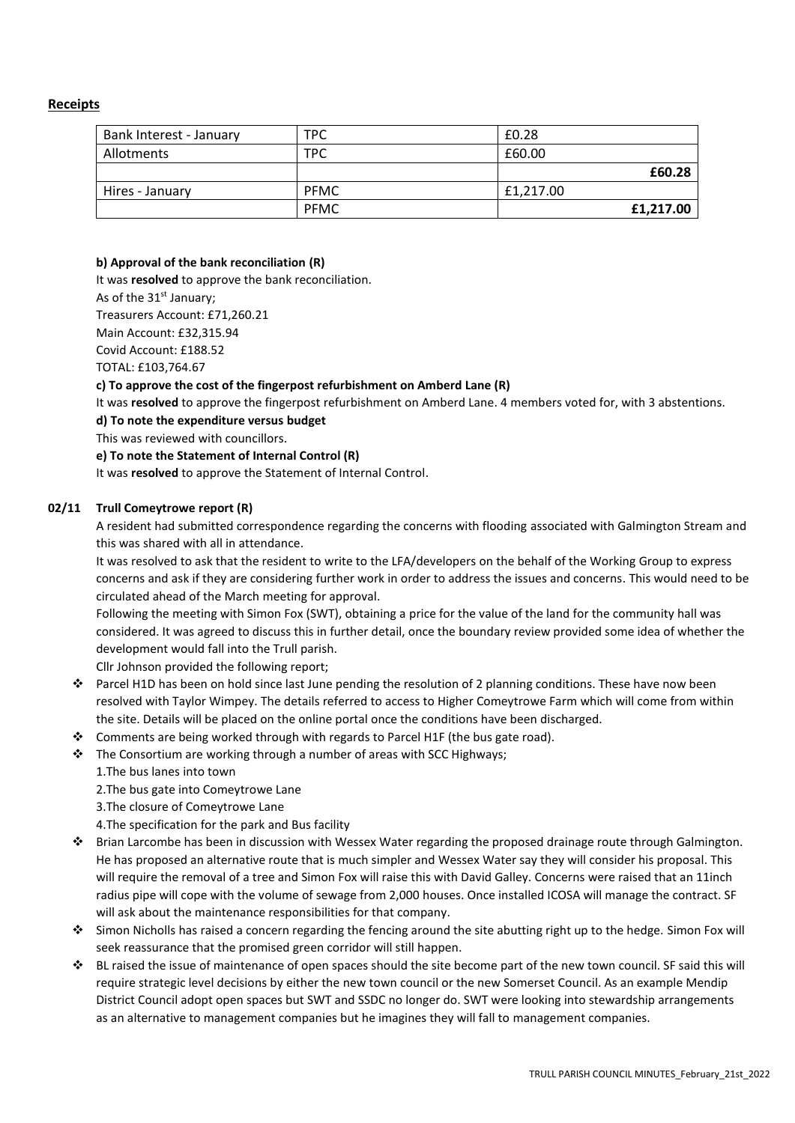# **Receipts**

| Bank Interest - January | <b>TPC</b>  | £0.28     |
|-------------------------|-------------|-----------|
| Allotments              | TPC         | £60.00    |
|                         |             | £60.28    |
| Hires - January         | <b>PFMC</b> | £1.217.00 |
|                         | <b>PFMC</b> | £1,217.00 |

## **b) Approval of the bank reconciliation (R)**

It was **resolved** to approve the bank reconciliation.

As of the 31<sup>st</sup> January;

Treasurers Account: £71,260.21

Main Account: £32,315.94

Covid Account: £188.52

TOTAL: £103,764.67

## **c) To approve the cost of the fingerpost refurbishment on Amberd Lane (R)**

It was **resolved** to approve the fingerpost refurbishment on Amberd Lane. 4 members voted for, with 3 abstentions.

**d) To note the expenditure versus budget**

This was reviewed with councillors.

## **e) To note the Statement of Internal Control (R)**

It was **resolved** to approve the Statement of Internal Control.

## **02/11 Trull Comeytrowe report (R)**

A resident had submitted correspondence regarding the concerns with flooding associated with Galmington Stream and this was shared with all in attendance.

It was resolved to ask that the resident to write to the LFA/developers on the behalf of the Working Group to express concerns and ask if they are considering further work in order to address the issues and concerns. This would need to be circulated ahead of the March meeting for approval.

Following the meeting with Simon Fox (SWT), obtaining a price for the value of the land for the community hall was considered. It was agreed to discuss this in further detail, once the boundary review provided some idea of whether the development would fall into the Trull parish.

Cllr Johnson provided the following report;

- ❖ Parcel H1D has been on hold since last June pending the resolution of 2 planning conditions. These have now been resolved with Taylor Wimpey. The details referred to access to Higher Comeytrowe Farm which will come from within the site. Details will be placed on the online portal once the conditions have been discharged.
- ❖ Comments are being worked through with regards to Parcel H1F (the bus gate road).
- ❖ The Consortium are working through a number of areas with SCC Highways;

1.The bus lanes into town

2.The bus gate into Comeytrowe Lane

3.The closure of Comeytrowe Lane

4.The specification for the park and Bus facility

- ❖ Brian Larcombe has been in discussion with Wessex Water regarding the proposed drainage route through Galmington. He has proposed an alternative route that is much simpler and Wessex Water say they will consider his proposal. This will require the removal of a tree and Simon Fox will raise this with David Galley. Concerns were raised that an 11inch radius pipe will cope with the volume of sewage from 2,000 houses. Once installed ICOSA will manage the contract. SF will ask about the maintenance responsibilities for that company.
- ❖ Simon Nicholls has raised a concern regarding the fencing around the site abutting right up to the hedge. Simon Fox will seek reassurance that the promised green corridor will still happen.
- ❖ BL raised the issue of maintenance of open spaces should the site become part of the new town council. SF said this will require strategic level decisions by either the new town council or the new Somerset Council. As an example Mendip District Council adopt open spaces but SWT and SSDC no longer do. SWT were looking into stewardship arrangements as an alternative to management companies but he imagines they will fall to management companies.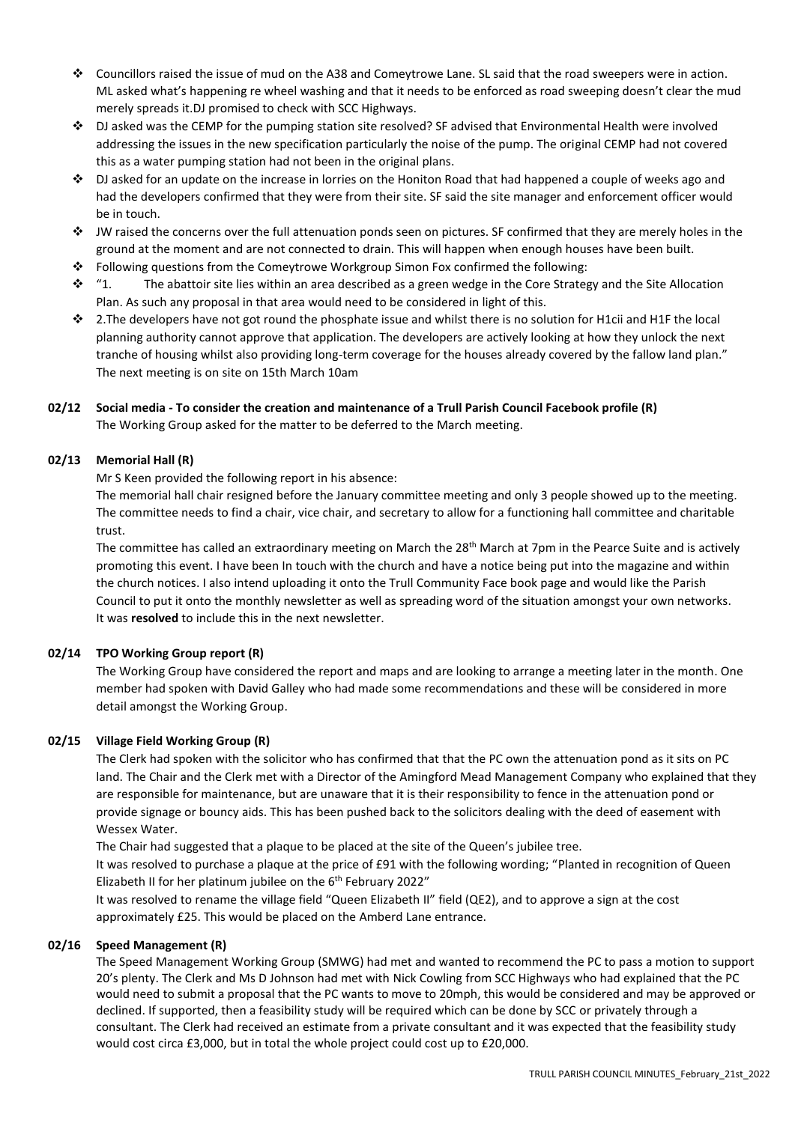- ❖ Councillors raised the issue of mud on the A38 and Comeytrowe Lane. SL said that the road sweepers were in action. ML asked what's happening re wheel washing and that it needs to be enforced as road sweeping doesn't clear the mud merely spreads it.DJ promised to check with SCC Highways.
- ❖ DJ asked was the CEMP for the pumping station site resolved? SF advised that Environmental Health were involved addressing the issues in the new specification particularly the noise of the pump. The original CEMP had not covered this as a water pumping station had not been in the original plans.
- ❖ DJ asked for an update on the increase in lorries on the Honiton Road that had happened a couple of weeks ago and had the developers confirmed that they were from their site. SF said the site manager and enforcement officer would be in touch.
- ❖ JW raised the concerns over the full attenuation ponds seen on pictures. SF confirmed that they are merely holes in the ground at the moment and are not connected to drain. This will happen when enough houses have been built.
- ❖ Following questions from the Comeytrowe Workgroup Simon Fox confirmed the following:
- $\dots$  "1. The abattoir site lies within an area described as a green wedge in the Core Strategy and the Site Allocation Plan. As such any proposal in that area would need to be considered in light of this.
- ❖ 2.The developers have not got round the phosphate issue and whilst there is no solution for H1cii and H1F the local planning authority cannot approve that application. The developers are actively looking at how they unlock the next tranche of housing whilst also providing long-term coverage for the houses already covered by the fallow land plan." The next meeting is on site on 15th March 10am

# **02/12 Social media - To consider the creation and maintenance of a Trull Parish Council Facebook profile (R)** The Working Group asked for the matter to be deferred to the March meeting.

# **02/13 Memorial Hall (R)**

Mr S Keen provided the following report in his absence:

The memorial hall chair resigned before the January committee meeting and only 3 people showed up to the meeting. The committee needs to find a chair, vice chair, and secretary to allow for a functioning hall committee and charitable trust.

The committee has called an extraordinary meeting on March the 28<sup>th</sup> March at 7pm in the Pearce Suite and is actively promoting this event. I have been In touch with the church and have a notice being put into the magazine and within the church notices. I also intend uploading it onto the Trull Community Face book page and would like the Parish Council to put it onto the monthly newsletter as well as spreading word of the situation amongst your own networks. It was **resolved** to include this in the next newsletter.

# **02/14 TPO Working Group report (R)**

The Working Group have considered the report and maps and are looking to arrange a meeting later in the month. One member had spoken with David Galley who had made some recommendations and these will be considered in more detail amongst the Working Group.

# **02/15 Village Field Working Group (R)**

The Clerk had spoken with the solicitor who has confirmed that that the PC own the attenuation pond as it sits on PC land. The Chair and the Clerk met with a Director of the Amingford Mead Management Company who explained that they are responsible for maintenance, but are unaware that it is their responsibility to fence in the attenuation pond or provide signage or bouncy aids. This has been pushed back to the solicitors dealing with the deed of easement with Wessex Water.

The Chair had suggested that a plaque to be placed at the site of the Queen's jubilee tree.

It was resolved to purchase a plaque at the price of £91 with the following wording; "Planted in recognition of Queen Elizabeth II for her platinum jubilee on the 6<sup>th</sup> February 2022"

It was resolved to rename the village field "Queen Elizabeth II" field (QE2), and to approve a sign at the cost approximately £25. This would be placed on the Amberd Lane entrance.

# **02/16 Speed Management (R)**

The Speed Management Working Group (SMWG) had met and wanted to recommend the PC to pass a motion to support 20's plenty. The Clerk and Ms D Johnson had met with Nick Cowling from SCC Highways who had explained that the PC would need to submit a proposal that the PC wants to move to 20mph, this would be considered and may be approved or declined. If supported, then a feasibility study will be required which can be done by SCC or privately through a consultant. The Clerk had received an estimate from a private consultant and it was expected that the feasibility study would cost circa £3,000, but in total the whole project could cost up to £20,000.